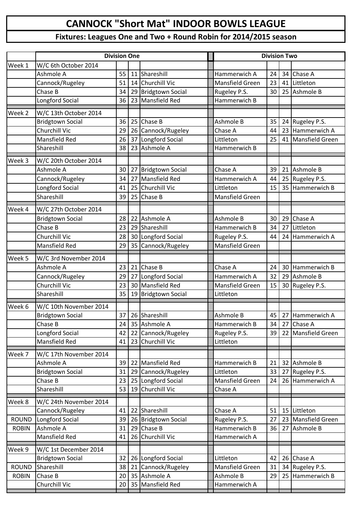## **CANNOCK "Short Mat" INDOOR BOWLS LEAGUE**

## **Fixtures: Leagues One and Two + Round Robin for 2014/2015 season**

|              | <b>Division One</b>              | <b>Division Two</b> |    |                                     |                              |    |    |                 |
|--------------|----------------------------------|---------------------|----|-------------------------------------|------------------------------|----|----|-----------------|
| Week 1       | W/C 6th October 2014             |                     |    |                                     |                              |    |    |                 |
|              | Ashmole A                        | 55                  | 11 | Shareshill                          | Hammerwich A                 | 24 | 34 | Chase A         |
|              | Cannock/Rugeley                  | 51                  | 14 | <b>Churchill Vic</b>                | Mansfield Green              | 23 | 41 | Littleton       |
|              | Chase B                          | 34                  |    | 29 Bridgtown Social                 | Rugeley P.S.                 | 30 | 25 | Ashmole B       |
|              | Longford Social                  | 36                  | 23 | <b>Mansfield Red</b>                | Hammerwich B                 |    |    |                 |
| Week 2       | W/C 13th October 2014            |                     |    |                                     |                              |    |    |                 |
|              | <b>Bridgtown Social</b>          | 36                  | 25 | Chase B                             | Ashmole B                    | 35 | 24 | Rugeley P.S.    |
|              | Churchill Vic                    | 29                  | 26 | Cannock/Rugeley                     | Chase A                      | 44 | 23 | Hammerwich A    |
|              | <b>Mansfield Red</b>             | 26                  | 37 | Longford Social                     | Littleton                    | 25 | 41 | Mansfield Green |
|              | Shareshill                       | 38                  |    | 23 Ashmole A                        | Hammerwich B                 |    |    |                 |
| Week 3       | W/C 20th October 2014            |                     |    |                                     |                              |    |    |                 |
|              | Ashmole A                        | 30                  | 27 | <b>Bridgtown Social</b>             | Chase A                      | 39 | 21 | Ashmole B       |
|              | Cannock/Rugeley                  | 34                  | 27 | <b>Mansfield Red</b>                | Hammerwich A                 | 44 | 25 | Rugeley P.S.    |
|              | Longford Social                  | 41                  | 25 | <b>Churchill Vic</b>                | Littleton                    | 15 | 35 | Hammerwich B    |
|              | Shareshill                       | 39                  | 25 | Chase B                             | Mansfield Green              |    |    |                 |
| Week 4       | W/C 27th October 2014            |                     |    |                                     |                              |    |    |                 |
|              | <b>Bridgtown Social</b>          | 28                  | 22 | Ashmole A                           | Ashmole B                    | 30 | 29 | Chase A         |
|              | Chase B                          | 23                  |    | 29 Shareshill                       | Hammerwich B                 | 34 | 27 | Littleton       |
|              | Churchill Vic                    | 28                  |    | 30 Longford Social                  | Rugeley P.S.                 | 44 | 24 | Hammerwich A    |
|              | <b>Mansfield Red</b>             | 29                  |    | 35 Cannock/Rugeley                  | Mansfield Green              |    |    |                 |
|              |                                  |                     |    |                                     |                              |    |    |                 |
| Week 5       | W/C 3rd November 2014            |                     |    |                                     |                              |    |    |                 |
|              | Ashmole A                        | 23                  |    | 21 Chase B                          | Chase A                      | 24 | 30 | Hammerwich B    |
|              | Cannock/Rugeley<br>Churchill Vic | 29<br>23            | 27 | Longford Social<br>30 Mansfield Red | Hammerwich A                 | 32 | 29 | Ashmole B       |
|              | Shareshill                       | 35                  |    | 19 Bridgtown Social                 | Mansfield Green<br>Littleton | 15 | 30 | Rugeley P.S.    |
|              |                                  |                     |    |                                     |                              |    |    |                 |
| Week 6       | W/C 10th November 2014           |                     |    |                                     |                              |    |    |                 |
|              | <b>Bridgtown Social</b>          | 37                  |    | 26 Shareshill                       | Ashmole B                    | 45 |    | 27 Hammerwich A |
|              | Chase B                          | 24                  |    | 35 Ashmole A                        | Hammerwich B                 | 34 |    | 27 Chase A      |
|              | Longford Social                  | 42                  | 22 | Cannock/Rugeley                     | Rugeley P.S.                 | 39 | 22 | Mansfield Green |
|              | <b>Mansfield Red</b>             | 41                  | 23 | <b>Churchill Vic</b>                | Littleton                    |    |    |                 |
| Week 7       | W/C 17th November 2014           |                     |    |                                     |                              |    |    |                 |
|              | Ashmole A                        | 39                  | 22 | <b>Mansfield Red</b>                | Hammerwich B                 | 21 | 32 | Ashmole B       |
|              | <b>Bridgtown Social</b>          | 31                  | 29 | Cannock/Rugeley                     | Littleton                    | 33 | 27 | Rugeley P.S.    |
|              | Chase B                          | 23                  | 25 | Longford Social                     | Mansfield Green              | 24 | 26 | Hammerwich A    |
|              | Shareshill                       | 53                  | 19 | Churchill Vic                       | Chase A                      |    |    |                 |
| Week 8       | W/C 24th November 2014           |                     |    |                                     |                              |    |    |                 |
|              | Cannock/Rugeley                  | 41                  |    | 22 Shareshill                       | Chase A                      | 51 | 15 | Littleton       |
| <b>ROUND</b> | Longford Social                  | 39                  |    | 26 Bridgtown Social                 | Rugeley P.S.                 | 27 | 23 | Mansfield Green |
| <b>ROBIN</b> | Ashmole A                        | 31                  | 29 | Chase B                             | Hammerwich B                 | 36 | 27 | Ashmole B       |
|              | <b>Mansfield Red</b>             | 41                  | 26 | Churchill Vic                       | Hammerwich A                 |    |    |                 |
| Week 9       | W/C 1st December 2014            |                     |    |                                     |                              |    |    |                 |
|              | <b>Bridgtown Social</b>          | 32                  |    | 26 Longford Social                  | Littleton                    | 42 |    | 26 Chase A      |
| <b>ROUND</b> | Shareshill                       | 38                  | 21 | Cannock/Rugeley                     | Mansfield Green              | 31 | 34 | Rugeley P.S.    |
| <b>ROBIN</b> | Chase B                          | 20                  |    | 35 Ashmole A                        | Ashmole B                    | 29 | 25 | Hammerwich B    |
|              | Churchill Vic                    | 20                  |    | 35 Mansfield Red                    | Hammerwich A                 |    |    |                 |
|              |                                  |                     |    |                                     |                              |    |    |                 |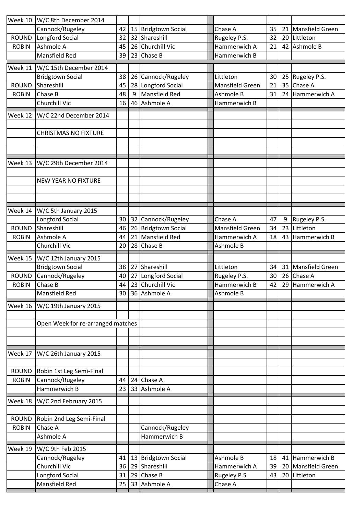| Week 10      | W/C 8th December 2014                   |          |    |                            |                         |    |    |                        |
|--------------|-----------------------------------------|----------|----|----------------------------|-------------------------|----|----|------------------------|
|              | Cannock/Rugeley                         | 42       |    | 15 Bridgtown Social        | Chase A                 | 35 | 21 | Mansfield Green        |
| <b>ROUND</b> | Longford Social                         | 32       |    | 32 Shareshill              | Rugeley P.S.            | 32 | 20 | Littleton              |
| <b>ROBIN</b> | Ashmole A                               | 45       |    | 26 Churchill Vic           | Hammerwich A            | 21 | 42 | Ashmole B              |
|              | Mansfield Red                           | 39       |    | 23 Chase B                 | Hammerwich B            |    |    |                        |
|              |                                         |          |    |                            |                         |    |    |                        |
| Week 11      | W/C 15th December 2014                  |          |    |                            |                         |    |    |                        |
|              | <b>Bridgtown Social</b>                 | 38       |    | 26 Cannock/Rugeley         | Littleton               | 30 | 25 | Rugeley P.S.           |
| <b>ROUND</b> | Shareshill                              | 45       |    | 28 Longford Social         | Mansfield Green         | 21 | 35 | Chase A                |
| <b>ROBIN</b> | Chase B                                 | 48       | 9  | Mansfield Red              | Ashmole B               | 31 | 24 | Hammerwich A           |
|              | Churchill Vic                           | 16       |    | 46 Ashmole A               | Hammerwich B            |    |    |                        |
| Week 12      | W/C 22nd December 2014                  |          |    |                            |                         |    |    |                        |
|              |                                         |          |    |                            |                         |    |    |                        |
|              | <b>CHRISTMAS NO FIXTURE</b>             |          |    |                            |                         |    |    |                        |
|              |                                         |          |    |                            |                         |    |    |                        |
|              |                                         |          |    |                            |                         |    |    |                        |
|              |                                         |          |    |                            |                         |    |    |                        |
| Week 13      | W/C 29th December 2014                  |          |    |                            |                         |    |    |                        |
|              |                                         |          |    |                            |                         |    |    |                        |
|              | <b>NEW YEAR NO FIXTURE</b>              |          |    |                            |                         |    |    |                        |
|              |                                         |          |    |                            |                         |    |    |                        |
|              |                                         |          |    |                            |                         |    |    |                        |
| Week 14      | W/C 5th January 2015                    |          |    |                            |                         |    |    |                        |
|              | Longford Social                         | 30       |    | 32 Cannock/Rugeley         | Chase A                 | 47 | 9  | Rugeley P.S.           |
| <b>ROUND</b> | Shareshill                              | 46       |    | 26 Bridgtown Social        | Mansfield Green         | 34 | 23 | Littleton              |
| <b>ROBIN</b> | Ashmole A                               | 44       |    | 21 Mansfield Red           | Hammerwich A            | 18 | 43 | Hammerwich B           |
|              | Churchill Vic                           | 20       | 28 | Chase B                    | Ashmole B               |    |    |                        |
|              |                                         |          |    |                            |                         |    |    |                        |
|              |                                         |          |    |                            |                         |    |    |                        |
| Week 15      | W/C 12th January 2015                   |          |    |                            |                         |    |    |                        |
|              | <b>Bridgtown Social</b>                 | 38       |    | 27 Shareshill              | Littleton               | 34 | 31 | <b>Mansfield Green</b> |
| <b>ROUND</b> | Cannock/Rugeley                         | 40       |    | 27 Longford Social         | Rugeley P.S.            | 30 | 26 | Chase A                |
| <b>ROBIN</b> | Chase B                                 | 44       |    | 23 Churchill Vic           | Hammerwich B            | 42 | 29 | Hammerwich A           |
|              | <b>Mansfield Red</b>                    |          |    | 30 36 Ashmole A            | Ashmole B               |    |    |                        |
|              |                                         |          |    |                            |                         |    |    |                        |
| Week 16      | W/C 19th January 2015                   |          |    |                            |                         |    |    |                        |
|              |                                         |          |    |                            |                         |    |    |                        |
|              | Open Week for re-arranged matches       |          |    |                            |                         |    |    |                        |
|              |                                         |          |    |                            |                         |    |    |                        |
|              |                                         |          |    |                            |                         |    |    |                        |
| Week 17      | W/C 26th January 2015                   |          |    |                            |                         |    |    |                        |
|              |                                         |          |    |                            |                         |    |    |                        |
| ROUND        | Robin 1st Leg Semi-Final                |          |    |                            |                         |    |    |                        |
| <b>ROBIN</b> | Cannock/Rugeley                         | 44       |    | 24 Chase A                 |                         |    |    |                        |
|              | Hammerwich B                            | 23       |    | 33 Ashmole A               |                         |    |    |                        |
| Week 18      | W/C 2nd February 2015                   |          |    |                            |                         |    |    |                        |
|              |                                         |          |    |                            |                         |    |    |                        |
| ROUND        | Robin 2nd Leg Semi-Final                |          |    |                            |                         |    |    |                        |
| <b>ROBIN</b> | Chase A                                 |          |    | Cannock/Rugeley            |                         |    |    |                        |
|              | Ashmole A                               |          |    | Hammerwich B               |                         |    |    |                        |
|              |                                         |          |    |                            |                         |    |    |                        |
| Week 19      | W/C 9th Feb 2015                        |          |    |                            |                         |    |    |                        |
|              | Cannock/Rugeley                         | 41       |    | 13 Bridgtown Social        | Ashmole B               | 18 | 41 | Hammerwich B           |
|              | Churchill Vic                           | 36       |    | 29 Shareshill              | Hammerwich A            | 39 | 20 | Mansfield Green        |
|              | Longford Social<br><b>Mansfield Red</b> | 31<br>25 |    | 29 Chase B<br>33 Ashmole A | Rugeley P.S.<br>Chase A | 43 | 20 | Littleton              |